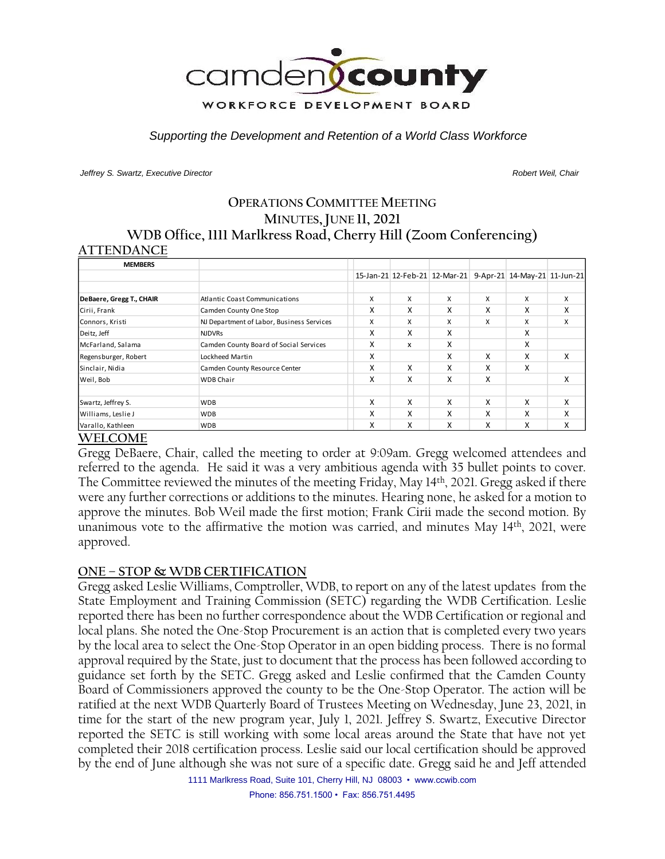

*Supporting the Development and Retention of a World Class Workforce*

*Jeffrey S. Swartz, Executive Director Robert Weil, Chair* 

### **OPERATIONS COMMITTEE MEETING MINUTES, JUNE 11, 2021 WDB Office, 1111 Marlkress Road, Cherry Hill (Zoom Conferencing) ATTENDANCE**

| <b>MEMBERS</b>           |                                           |   |   |   |   |                                                            |   |
|--------------------------|-------------------------------------------|---|---|---|---|------------------------------------------------------------|---|
|                          |                                           |   |   |   |   | 15-Jan-21 12-Feb-21 12-Mar-21 9-Apr-21 14-May-21 11-Jun-21 |   |
|                          |                                           |   |   |   |   |                                                            |   |
| DeBaere, Gregg T., CHAIR | <b>Atlantic Coast Communications</b>      | X | X | X | X | X                                                          | X |
| Cirii, Frank             | Camden County One Stop                    | x | X | X | x | x                                                          | X |
| Connors, Kristi          | NJ Department of Labor, Business Services | X | X | X | x | x                                                          | X |
| Deitz, Jeff              | <b>NJDVRs</b>                             | X | X | X |   | X                                                          |   |
| McFarland, Salama        | Camden County Board of Social Services    | x | x | x |   | x                                                          |   |
| Regensburger, Robert     | Lockheed Martin                           | x |   | x | X | x                                                          | X |
| Sinclair, Nidia          | Camden County Resource Center             | x | x | x | x | x                                                          |   |
| Weil, Bob                | <b>WDB Chair</b>                          | x | X | x | X |                                                            | X |
| Swartz, Jeffrey S.       | <b>WDB</b>                                | x | x | X | x | X                                                          | x |
|                          |                                           |   |   |   |   |                                                            |   |
| Williams, Leslie J       | <b>WDB</b>                                | x | x | x | X | X                                                          | X |
| Varallo, Kathleen        | <b>WDB</b>                                | X | x | x | X | Χ                                                          | х |

### **WELCOME**

Gregg DeBaere, Chair, called the meeting to order at 9:09am. Gregg welcomed attendees and referred to the agenda. He said it was a very ambitious agenda with 35 bullet points to cover. The Committee reviewed the minutes of the meeting Friday, May 14<sup>th</sup>, 2021. Gregg asked if there were any further corrections or additions to the minutes. Hearing none, he asked for a motion to approve the minutes. Bob Weil made the first motion; Frank Cirii made the second motion. By unanimous vote to the affirmative the motion was carried, and minutes May 14th , 2021, were approved.

### **ONE – STOP & WDB CERTIFICATION**

Gregg asked Leslie Williams, Comptroller, WDB, to report on any of the latest updates from the State Employment and Training Commission (SETC) regarding the WDB Certification. Leslie reported there has been no further correspondence about the WDB Certification or regional and local plans. She noted the One-Stop Procurement is an action that is completed every two years by the local area to select the One-Stop Operator in an open bidding process. There is no formal approval required by the State, just to document that the process has been followed according to guidance set forth by the SETC. Gregg asked and Leslie confirmed that the Camden County Board of Commissioners approved the county to be the One-Stop Operator. The action will be ratified at the next WDB Quarterly Board of Trustees Meeting on Wednesday, June 23, 2021, in time for the start of the new program year, July 1, 2021. Jeffrey S. Swartz, Executive Director reported the SETC is still working with some local areas around the State that have not yet completed their 2018 certification process. Leslie said our local certification should be approved by the end of June although she was not sure of a specific date. Gregg said he and Jeff attended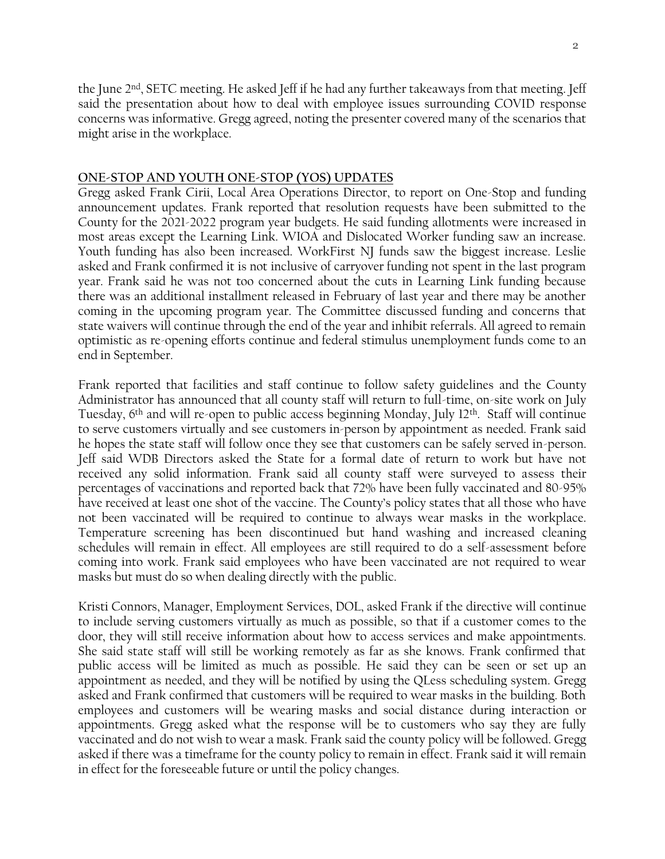the June 2nd, SETC meeting. He asked Jeff if he had any further takeaways from that meeting. Jeff said the presentation about how to deal with employee issues surrounding COVID response concerns was informative. Gregg agreed, noting the presenter covered many of the scenarios that might arise in the workplace.

#### **ONE-STOP AND YOUTH ONE-STOP (YOS) UPDATES**

Gregg asked Frank Cirii, Local Area Operations Director, to report on One-Stop and funding announcement updates. Frank reported that resolution requests have been submitted to the County for the 2021-2022 program year budgets. He said funding allotments were increased in most areas except the Learning Link. WIOA and Dislocated Worker funding saw an increase. Youth funding has also been increased. WorkFirst NJ funds saw the biggest increase. Leslie asked and Frank confirmed it is not inclusive of carryover funding not spent in the last program year. Frank said he was not too concerned about the cuts in Learning Link funding because there was an additional installment released in February of last year and there may be another coming in the upcoming program year. The Committee discussed funding and concerns that state waivers will continue through the end of the year and inhibit referrals. All agreed to remain optimistic as re-opening efforts continue and federal stimulus unemployment funds come to an end in September.

Frank reported that facilities and staff continue to follow safety guidelines and the County Administrator has announced that all county staff will return to full-time, on-site work on July Tuesday, 6th and will re-open to public access beginning Monday, July 12th. Staff will continue to serve customers virtually and see customers in-person by appointment as needed. Frank said he hopes the state staff will follow once they see that customers can be safely served in-person. Jeff said WDB Directors asked the State for a formal date of return to work but have not received any solid information. Frank said all county staff were surveyed to assess their percentages of vaccinations and reported back that 72% have been fully vaccinated and 80-95% have received at least one shot of the vaccine. The County's policy states that all those who have not been vaccinated will be required to continue to always wear masks in the workplace. Temperature screening has been discontinued but hand washing and increased cleaning schedules will remain in effect. All employees are still required to do a self-assessment before coming into work. Frank said employees who have been vaccinated are not required to wear masks but must do so when dealing directly with the public.

Kristi Connors, Manager, Employment Services, DOL, asked Frank if the directive will continue to include serving customers virtually as much as possible, so that if a customer comes to the door, they will still receive information about how to access services and make appointments. She said state staff will still be working remotely as far as she knows. Frank confirmed that public access will be limited as much as possible. He said they can be seen or set up an appointment as needed, and they will be notified by using the QLess scheduling system. Gregg asked and Frank confirmed that customers will be required to wear masks in the building. Both employees and customers will be wearing masks and social distance during interaction or appointments. Gregg asked what the response will be to customers who say they are fully vaccinated and do not wish to wear a mask. Frank said the county policy will be followed. Gregg asked if there was a timeframe for the county policy to remain in effect. Frank said it will remain in effect for the foreseeable future or until the policy changes.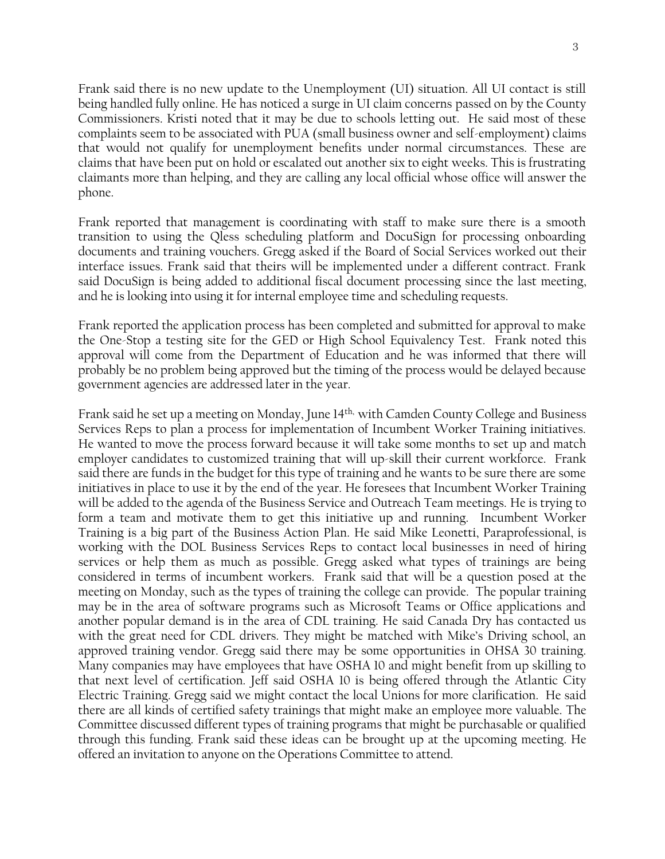Frank said there is no new update to the Unemployment (UI) situation. All UI contact is still being handled fully online. He has noticed a surge in UI claim concerns passed on by the County Commissioners. Kristi noted that it may be due to schools letting out. He said most of these complaints seem to be associated with PUA (small business owner and self-employment) claims that would not qualify for unemployment benefits under normal circumstances. These are claims that have been put on hold or escalated out another six to eight weeks. This is frustrating claimants more than helping, and they are calling any local official whose office will answer the phone.

Frank reported that management is coordinating with staff to make sure there is a smooth transition to using the Qless scheduling platform and DocuSign for processing onboarding documents and training vouchers. Gregg asked if the Board of Social Services worked out their interface issues. Frank said that theirs will be implemented under a different contract. Frank said DocuSign is being added to additional fiscal document processing since the last meeting, and he is looking into using it for internal employee time and scheduling requests.

Frank reported the application process has been completed and submitted for approval to make the One-Stop a testing site for the GED or High School Equivalency Test. Frank noted this approval will come from the Department of Education and he was informed that there will probably be no problem being approved but the timing of the process would be delayed because government agencies are addressed later in the year.

Frank said he set up a meeting on Monday, June 14th, with Camden County College and Business Services Reps to plan a process for implementation of Incumbent Worker Training initiatives. He wanted to move the process forward because it will take some months to set up and match employer candidates to customized training that will up-skill their current workforce. Frank said there are funds in the budget for this type of training and he wants to be sure there are some initiatives in place to use it by the end of the year. He foresees that Incumbent Worker Training will be added to the agenda of the Business Service and Outreach Team meetings. He is trying to form a team and motivate them to get this initiative up and running. Incumbent Worker Training is a big part of the Business Action Plan. He said Mike Leonetti, Paraprofessional, is working with the DOL Business Services Reps to contact local businesses in need of hiring services or help them as much as possible. Gregg asked what types of trainings are being considered in terms of incumbent workers. Frank said that will be a question posed at the meeting on Monday, such as the types of training the college can provide. The popular training may be in the area of software programs such as Microsoft Teams or Office applications and another popular demand is in the area of CDL training. He said Canada Dry has contacted us with the great need for CDL drivers. They might be matched with Mike's Driving school, an approved training vendor. Gregg said there may be some opportunities in OHSA 30 training. Many companies may have employees that have OSHA 10 and might benefit from up skilling to that next level of certification. Jeff said OSHA 10 is being offered through the Atlantic City Electric Training. Gregg said we might contact the local Unions for more clarification. He said there are all kinds of certified safety trainings that might make an employee more valuable. The Committee discussed different types of training programs that might be purchasable or qualified through this funding. Frank said these ideas can be brought up at the upcoming meeting. He offered an invitation to anyone on the Operations Committee to attend.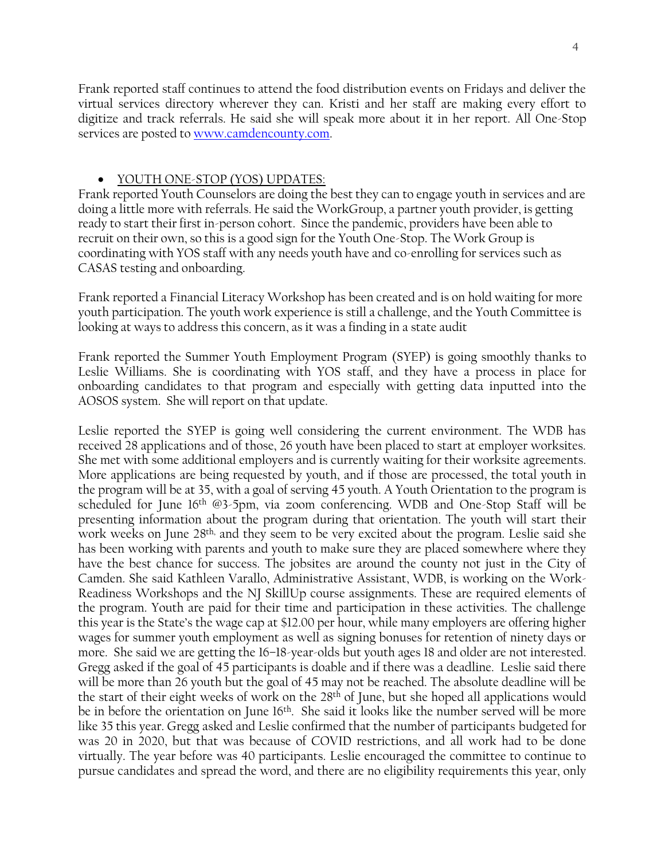Frank reported staff continues to attend the food distribution events on Fridays and deliver the virtual services directory wherever they can. Kristi and her staff are making every effort to digitize and track referrals. He said she will speak more about it in her report. All One-Stop services are posted to [www.camdencounty.com.](http://www.camdencounty.com/)

## • YOUTH ONE-STOP (YOS) UPDATES:

Frank reported Youth Counselors are doing the best they can to engage youth in services and are doing a little more with referrals. He said the WorkGroup, a partner youth provider, is getting ready to start their first in-person cohort. Since the pandemic, providers have been able to recruit on their own, so this is a good sign for the Youth One-Stop. The Work Group is coordinating with YOS staff with any needs youth have and co-enrolling for services such as CASAS testing and onboarding.

Frank reported a Financial Literacy Workshop has been created and is on hold waiting for more youth participation. The youth work experience is still a challenge, and the Youth Committee is looking at ways to address this concern, as it was a finding in a state audit

Frank reported the Summer Youth Employment Program (SYEP) is going smoothly thanks to Leslie Williams. She is coordinating with YOS staff, and they have a process in place for onboarding candidates to that program and especially with getting data inputted into the AOSOS system. She will report on that update.

Leslie reported the SYEP is going well considering the current environment. The WDB has received 28 applications and of those, 26 youth have been placed to start at employer worksites. She met with some additional employers and is currently waiting for their worksite agreements. More applications are being requested by youth, and if those are processed, the total youth in the program will be at 35, with a goal of serving 45 youth. A Youth Orientation to the program is scheduled for June 16th @3-5pm, via zoom conferencing. WDB and One-Stop Staff will be presenting information about the program during that orientation. The youth will start their work weeks on June 28th, and they seem to be very excited about the program. Leslie said she has been working with parents and youth to make sure they are placed somewhere where they have the best chance for success. The jobsites are around the county not just in the City of Camden. She said Kathleen Varallo, Administrative Assistant, WDB, is working on the Work-Readiness Workshops and the NJ SkillUp course assignments. These are required elements of the program. Youth are paid for their time and participation in these activities. The challenge this year is the State's the wage cap at \$12.00 per hour, while many employers are offering higher wages for summer youth employment as well as signing bonuses for retention of ninety days or more. She said we are getting the 16–18-year-olds but youth ages 18 and older are not interested. Gregg asked if the goal of 45 participants is doable and if there was a deadline. Leslie said there will be more than 26 youth but the goal of 45 may not be reached. The absolute deadline will be the start of their eight weeks of work on the 28th of June, but she hoped all applications would be in before the orientation on June 16<sup>th</sup>. She said it looks like the number served will be more like 35 this year. Gregg asked and Leslie confirmed that the number of participants budgeted for was 20 in 2020, but that was because of COVID restrictions, and all work had to be done virtually. The year before was 40 participants. Leslie encouraged the committee to continue to pursue candidates and spread the word, and there are no eligibility requirements this year, only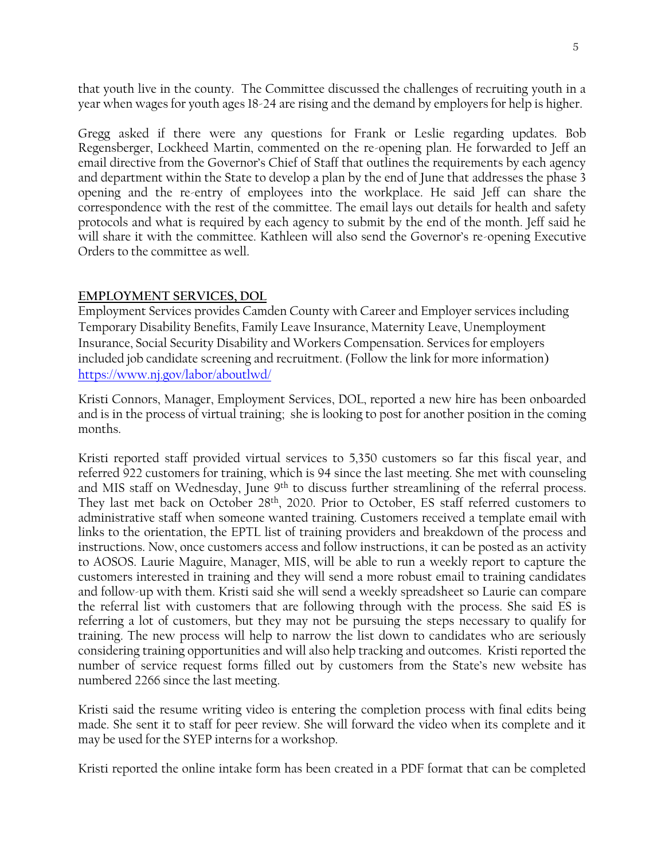that youth live in the county. The Committee discussed the challenges of recruiting youth in a year when wages for youth ages 18-24 are rising and the demand by employers for help is higher.

Gregg asked if there were any questions for Frank or Leslie regarding updates. Bob Regensberger, Lockheed Martin, commented on the re-opening plan. He forwarded to Jeff an email directive from the Governor's Chief of Staff that outlines the requirements by each agency and department within the State to develop a plan by the end of June that addresses the phase 3 opening and the re-entry of employees into the workplace. He said Jeff can share the correspondence with the rest of the committee. The email lays out details for health and safety protocols and what is required by each agency to submit by the end of the month. Jeff said he will share it with the committee. Kathleen will also send the Governor's re-opening Executive Orders to the committee as well.

### **EMPLOYMENT SERVICES, DOL**

Employment Services provides Camden County with Career and Employer services including Temporary Disability Benefits, Family Leave Insurance, Maternity Leave, Unemployment Insurance, Social Security Disability and Workers Compensation. Services for employers included job candidate screening and recruitment. (Follow the link for more information) <https://www.nj.gov/labor/aboutlwd/>

Kristi Connors, Manager, Employment Services, DOL, reported a new hire has been onboarded and is in the process of virtual training; she is looking to post for another position in the coming months.

Kristi reported staff provided virtual services to 5,350 customers so far this fiscal year, and referred 922 customers for training, which is 94 since the last meeting. She met with counseling and MIS staff on Wednesday, June 9<sup>th</sup> to discuss further streamlining of the referral process. They last met back on October 28th, 2020. Prior to October, ES staff referred customers to administrative staff when someone wanted training. Customers received a template email with links to the orientation, the EPTL list of training providers and breakdown of the process and instructions. Now, once customers access and follow instructions, it can be posted as an activity to AOSOS. Laurie Maguire, Manager, MIS, will be able to run a weekly report to capture the customers interested in training and they will send a more robust email to training candidates and follow-up with them. Kristi said she will send a weekly spreadsheet so Laurie can compare the referral list with customers that are following through with the process. She said ES is referring a lot of customers, but they may not be pursuing the steps necessary to qualify for training. The new process will help to narrow the list down to candidates who are seriously considering training opportunities and will also help tracking and outcomes. Kristi reported the number of service request forms filled out by customers from the State's new website has numbered 2266 since the last meeting.

Kristi said the resume writing video is entering the completion process with final edits being made. She sent it to staff for peer review. She will forward the video when its complete and it may be used for the SYEP interns for a workshop.

Kristi reported the online intake form has been created in a PDF format that can be completed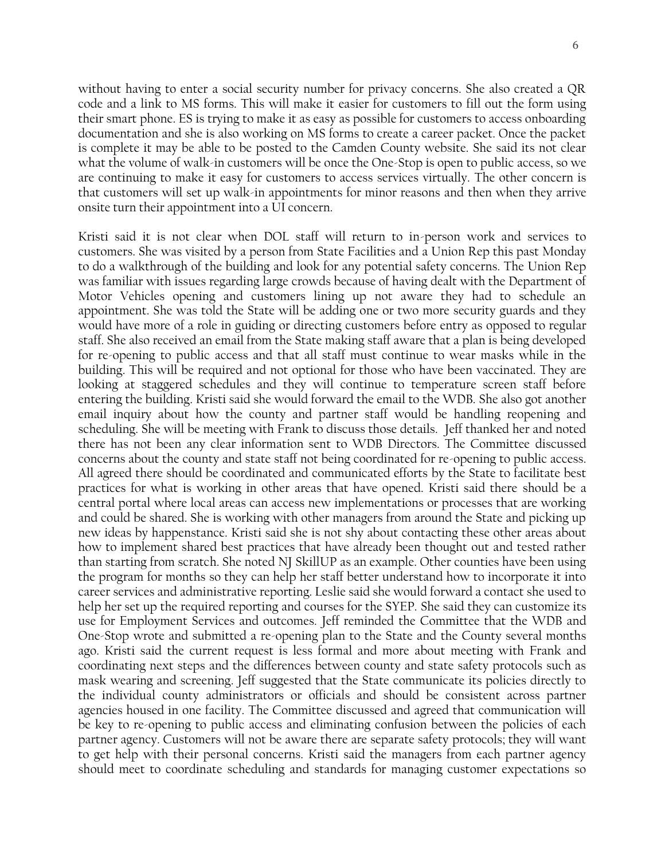without having to enter a social security number for privacy concerns. She also created a QR code and a link to MS forms. This will make it easier for customers to fill out the form using their smart phone. ES is trying to make it as easy as possible for customers to access onboarding documentation and she is also working on MS forms to create a career packet. Once the packet is complete it may be able to be posted to the Camden County website. She said its not clear what the volume of walk-in customers will be once the One-Stop is open to public access, so we are continuing to make it easy for customers to access services virtually. The other concern is that customers will set up walk-in appointments for minor reasons and then when they arrive onsite turn their appointment into a UI concern.

Kristi said it is not clear when DOL staff will return to in-person work and services to customers. She was visited by a person from State Facilities and a Union Rep this past Monday to do a walkthrough of the building and look for any potential safety concerns. The Union Rep was familiar with issues regarding large crowds because of having dealt with the Department of Motor Vehicles opening and customers lining up not aware they had to schedule an appointment. She was told the State will be adding one or two more security guards and they would have more of a role in guiding or directing customers before entry as opposed to regular staff. She also received an email from the State making staff aware that a plan is being developed for re-opening to public access and that all staff must continue to wear masks while in the building. This will be required and not optional for those who have been vaccinated. They are looking at staggered schedules and they will continue to temperature screen staff before entering the building. Kristi said she would forward the email to the WDB. She also got another email inquiry about how the county and partner staff would be handling reopening and scheduling. She will be meeting with Frank to discuss those details. Jeff thanked her and noted there has not been any clear information sent to WDB Directors. The Committee discussed concerns about the county and state staff not being coordinated for re-opening to public access. All agreed there should be coordinated and communicated efforts by the State to facilitate best practices for what is working in other areas that have opened. Kristi said there should be a central portal where local areas can access new implementations or processes that are working and could be shared. She is working with other managers from around the State and picking up new ideas by happenstance. Kristi said she is not shy about contacting these other areas about how to implement shared best practices that have already been thought out and tested rather than starting from scratch. She noted NJ SkillUP as an example. Other counties have been using the program for months so they can help her staff better understand how to incorporate it into career services and administrative reporting. Leslie said she would forward a contact she used to help her set up the required reporting and courses for the SYEP. She said they can customize its use for Employment Services and outcomes. Jeff reminded the Committee that the WDB and One-Stop wrote and submitted a re-opening plan to the State and the County several months ago. Kristi said the current request is less formal and more about meeting with Frank and coordinating next steps and the differences between county and state safety protocols such as mask wearing and screening. Jeff suggested that the State communicate its policies directly to the individual county administrators or officials and should be consistent across partner agencies housed in one facility. The Committee discussed and agreed that communication will be key to re-opening to public access and eliminating confusion between the policies of each partner agency. Customers will not be aware there are separate safety protocols; they will want to get help with their personal concerns. Kristi said the managers from each partner agency should meet to coordinate scheduling and standards for managing customer expectations so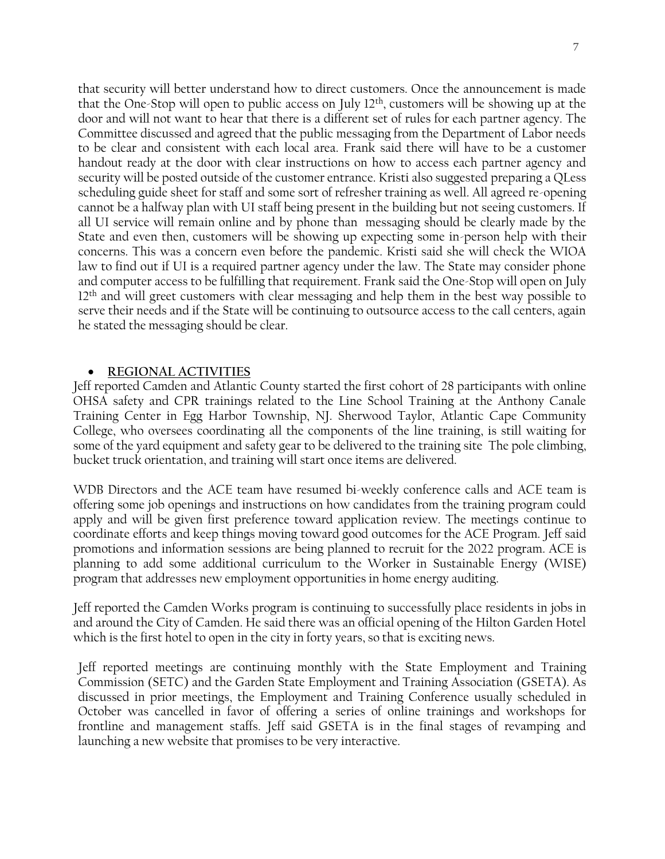that security will better understand how to direct customers. Once the announcement is made that the One-Stop will open to public access on July  $12<sup>th</sup>$ , customers will be showing up at the door and will not want to hear that there is a different set of rules for each partner agency. The Committee discussed and agreed that the public messaging from the Department of Labor needs to be clear and consistent with each local area. Frank said there will have to be a customer handout ready at the door with clear instructions on how to access each partner agency and security will be posted outside of the customer entrance. Kristi also suggested preparing a QLess scheduling guide sheet for staff and some sort of refresher training as well. All agreed re-opening cannot be a halfway plan with UI staff being present in the building but not seeing customers. If all UI service will remain online and by phone than messaging should be clearly made by the State and even then, customers will be showing up expecting some in-person help with their concerns. This was a concern even before the pandemic. Kristi said she will check the WIOA law to find out if UI is a required partner agency under the law. The State may consider phone and computer access to be fulfilling that requirement. Frank said the One-Stop will open on July 12<sup>th</sup> and will greet customers with clear messaging and help them in the best way possible to serve their needs and if the State will be continuing to outsource access to the call centers, again he stated the messaging should be clear.

#### • **REGIONAL ACTIVITIES**

Jeff reported Camden and Atlantic County started the first cohort of 28 participants with online OHSA safety and CPR trainings related to the Line School Training at the Anthony Canale Training Center in Egg Harbor Township, NJ. Sherwood Taylor, Atlantic Cape Community College, who oversees coordinating all the components of the line training, is still waiting for some of the yard equipment and safety gear to be delivered to the training site The pole climbing, bucket truck orientation, and training will start once items are delivered.

WDB Directors and the ACE team have resumed bi-weekly conference calls and ACE team is offering some job openings and instructions on how candidates from the training program could apply and will be given first preference toward application review. The meetings continue to coordinate efforts and keep things moving toward good outcomes for the ACE Program. Jeff said promotions and information sessions are being planned to recruit for the 2022 program. ACE is planning to add some additional curriculum to the Worker in Sustainable Energy (WISE) program that addresses new employment opportunities in home energy auditing.

Jeff reported the Camden Works program is continuing to successfully place residents in jobs in and around the City of Camden. He said there was an official opening of the Hilton Garden Hotel which is the first hotel to open in the city in forty years, so that is exciting news.

Jeff reported meetings are continuing monthly with the State Employment and Training Commission (SETC) and the Garden State Employment and Training Association (GSETA). As discussed in prior meetings, the Employment and Training Conference usually scheduled in October was cancelled in favor of offering a series of online trainings and workshops for frontline and management staffs. Jeff said GSETA is in the final stages of revamping and launching a new website that promises to be very interactive.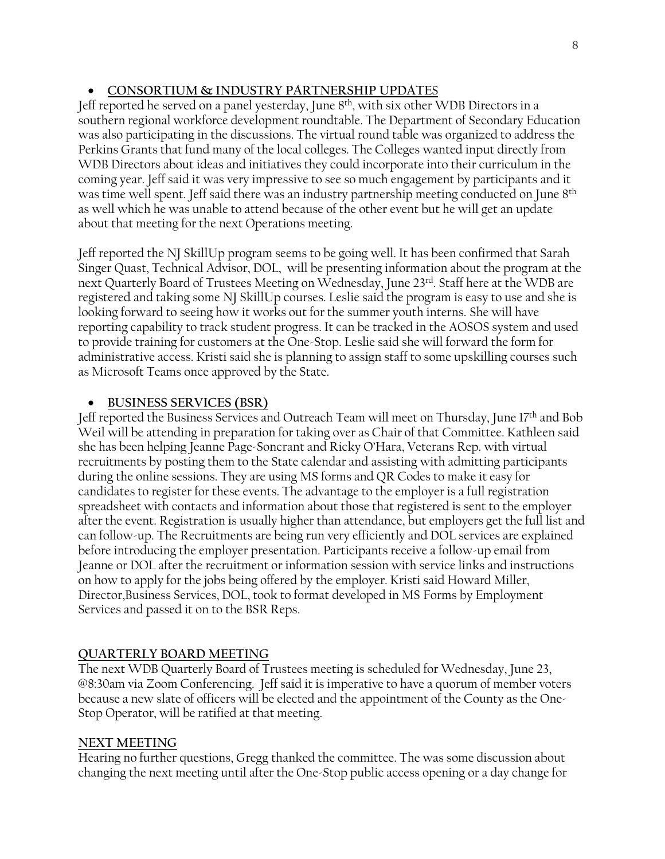## • **CONSORTIUM & INDUSTRY PARTNERSHIP UPDATE**S

Jeff reported he served on a panel yesterday, June 8th, with six other WDB Directors in a southern regional workforce development roundtable. The Department of Secondary Education was also participating in the discussions. The virtual round table was organized to address the Perkins Grants that fund many of the local colleges. The Colleges wanted input directly from WDB Directors about ideas and initiatives they could incorporate into their curriculum in the coming year. Jeff said it was very impressive to see so much engagement by participants and it was time well spent. Jeff said there was an industry partnership meeting conducted on June 8th as well which he was unable to attend because of the other event but he will get an update about that meeting for the next Operations meeting.

Jeff reported the NJ SkillUp program seems to be going well. It has been confirmed that Sarah Singer Quast, Technical Advisor, DOL, will be presenting information about the program at the next Quarterly Board of Trustees Meeting on Wednesday, June 23rd. Staff here at the WDB are registered and taking some NJ SkillUp courses. Leslie said the program is easy to use and she is looking forward to seeing how it works out for the summer youth interns. She will have reporting capability to track student progress. It can be tracked in the AOSOS system and used to provide training for customers at the One-Stop. Leslie said she will forward the form for administrative access. Kristi said she is planning to assign staff to some upskilling courses such as Microsoft Teams once approved by the State.

## • **BUSINESS SERVICES (BSR)**

Jeff reported the Business Services and Outreach Team will meet on Thursday, June 17th and Bob Weil will be attending in preparation for taking over as Chair of that Committee. Kathleen said she has been helping Jeanne Page-Soncrant and Ricky O'Hara, Veterans Rep. with virtual recruitments by posting them to the State calendar and assisting with admitting participants during the online sessions. They are using MS forms and QR Codes to make it easy for candidates to register for these events. The advantage to the employer is a full registration spreadsheet with contacts and information about those that registered is sent to the employer after the event. Registration is usually higher than attendance, but employers get the full list and can follow-up. The Recruitments are being run very efficiently and DOL services are explained before introducing the employer presentation. Participants receive a follow-up email from Jeanne or DOL after the recruitment or information session with service links and instructions on how to apply for the jobs being offered by the employer. Kristi said Howard Miller, Director,Business Services, DOL, took to format developed in MS Forms by Employment Services and passed it on to the BSR Reps.

# **QUARTERLY BOARD MEETING**

The next WDB Quarterly Board of Trustees meeting is scheduled for Wednesday, June 23, @8:30am via Zoom Conferencing. Jeff said it is imperative to have a quorum of member voters because a new slate of officers will be elected and the appointment of the County as the One-Stop Operator, will be ratified at that meeting.

## **NEXT MEETING**

Hearing no further questions, Gregg thanked the committee. The was some discussion about changing the next meeting until after the One-Stop public access opening or a day change for